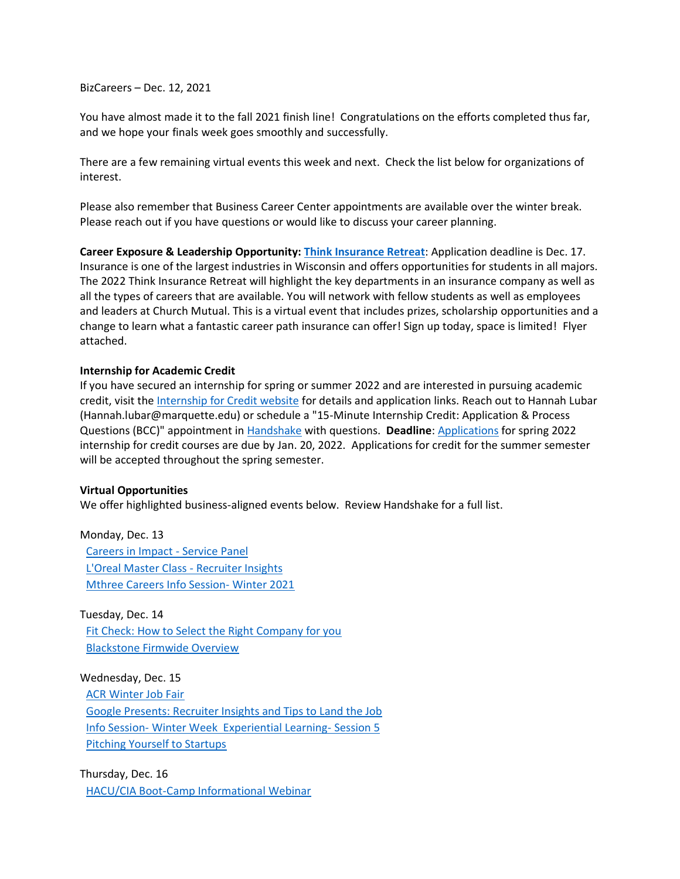BizCareers – Dec. 12, 2021

You have almost made it to the fall 2021 finish line! Congratulations on the efforts completed thus far, and we hope your finals week goes smoothly and successfully.

There are a few remaining virtual events this week and next. Check the list below for organizations of interest.

Please also remember that Business Career Center appointments are available over the winter break. Please reach out if you have questions or would like to discuss your career planning.

**Career Exposure & Leadership Opportunity[: Think Insurance Retreat](https://marquette.joinhandshake.com/events/858021/share_preview)**: Application deadline is Dec. 17. Insurance is one of the largest industries in Wisconsin and offers opportunities for students in all majors. The 2022 Think Insurance Retreat will highlight the key departments in an insurance company as well as all the types of careers that are available. You will network with fellow students as well as employees and leaders at Church Mutual. This is a virtual event that includes prizes, scholarship opportunities and a change to learn what a fantastic career path insurance can offer! Sign up today, space is limited! Flyer attached.

## **Internship for Academic Credit**

If you have secured an internship for spring or summer 2022 and are interested in pursuing academic credit, visit the [Internship for Credit website](https://www.marquette.edu/business/career-center/undergrad/internships.php) for details and application links. Reach out to Hannah Lubar (Hannah.lubar@marquette.edu) or schedule a "15-Minute Internship Credit: Application & Process Questions (BCC)" appointment in [Handshake](https://marquette.joinhandshake.com/) with questions. **Deadline**: [Applications](https://www.marquette.edu/business/career-center/undergrad/internships.php) for spring 2022 internship for credit courses are due by Jan. 20, 2022. Applications for credit for the summer semester will be accepted throughout the spring semester.

## **Virtual Opportunities**

We offer highlighted business-aligned events below. Review Handshake for a full list.

Monday, Dec. 13 [Careers in Impact -](https://marquette.joinhandshake.com/events/920045/share_preview) Service Panel [L'Oreal Master Class -](https://marquette.joinhandshake.com/events/916116/share_preview) Recruiter Insights [Mthree Careers Info Session-](https://marquette.joinhandshake.com/events/913583/share_preview) Winter 2021

Tuesday, Dec. 14 [Fit Check: How to Select the Right Company for you](https://marquette.joinhandshake.com/events/914284/share_preview) [Blackstone Firmwide Overview](https://marquette.joinhandshake.com/events/893038/share_preview)

Wednesday, Dec. 15

[ACR Winter Job Fair](https://marquette.joinhandshake.com/events/912912/share_preview)

[Google Presents: Recruiter Insights and Tips to Land the Job](https://marquette.joinhandshake.com/events/905419/share_preview) Info Session- [Winter Week Experiential Learning-](https://marquette.joinhandshake.com/events/900353/share_preview) Session 5 [Pitching Yourself to Startups](https://marquette.joinhandshake.com/events/889987/share_preview)

Thursday, Dec. 16 [HACU/CIA Boot-Camp Informational Webinar](https://marquette.joinhandshake.com/events/919696/share_preview)